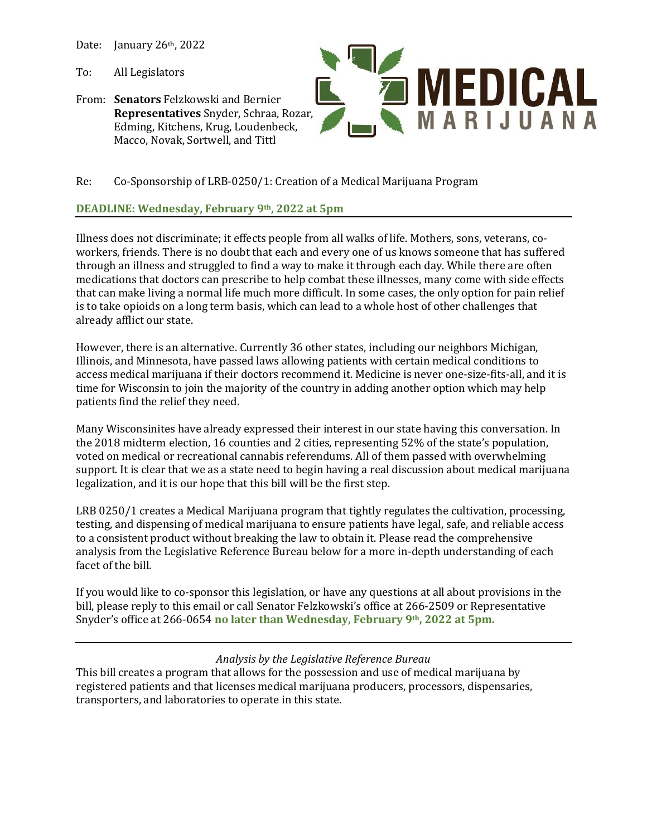Date: January 26th, 2022

To: All Legislators

From: **Senators** Felzkowski and Bernier **Representatives** Snyder, Schraa, Rozar, Edming, Kitchens, Krug, Loudenbeck, Macco, Novak, Sortwell, and Tittl

**MEDICAL** MARIJUANA

# Re: Co-Sponsorship of LRB-0250/1: Creation of a Medical Marijuana Program

# **DEADLINE: Wednesday, February 9th, 2022 at 5pm**

Illness does not discriminate; it effects people from all walks of life. Mothers, sons, veterans, coworkers, friends. There is no doubt that each and every one of us knows someone that has suffered through an illness and struggled to find a way to make it through each day. While there are often medications that doctors can prescribe to help combat these illnesses, many come with side effects that can make living a normal life much more difficult. In some cases, the only option for pain relief is to take opioids on a long term basis, which can lead to a whole host of other challenges that already afflict our state.

However, there is an alternative. Currently 36 other states, including our neighbors Michigan, Illinois, and Minnesota, have passed laws allowing patients with certain medical conditions to access medical marijuana if their doctors recommend it. Medicine is never one-size-fits-all, and it is time for Wisconsin to join the majority of the country in adding another option which may help patients find the relief they need.

Many Wisconsinites have already expressed their interest in our state having this conversation. In the 2018 midterm election, 16 counties and 2 cities, representing 52% of the state's population, voted on medical or recreational cannabis referendums. All of them passed with overwhelming support. It is clear that we as a state need to begin having a real discussion about medical marijuana legalization, and it is our hope that this bill will be the first step.

LRB 0250/1 creates a Medical Marijuana program that tightly regulates the cultivation, processing, testing, and dispensing of medical marijuana to ensure patients have legal, safe, and reliable access to a consistent product without breaking the law to obtain it. Please read the comprehensive analysis from the Legislative Reference Bureau below for a more in-depth understanding of each facet of the bill.

If you would like to co-sponsor this legislation, or have any questions at all about provisions in the bill, please reply to this email or call Senator Felzkowski's office at 266-2509 or Representative Snyder's office at 266-0654 **no later than Wednesday, February 9th, 2022 at 5pm.**

# *Analysis by the Legislative Reference Bureau*

This bill creates a program that allows for the possession and use of medical marijuana by registered patients and that licenses medical marijuana producers, processors, dispensaries, transporters, and laboratories to operate in this state.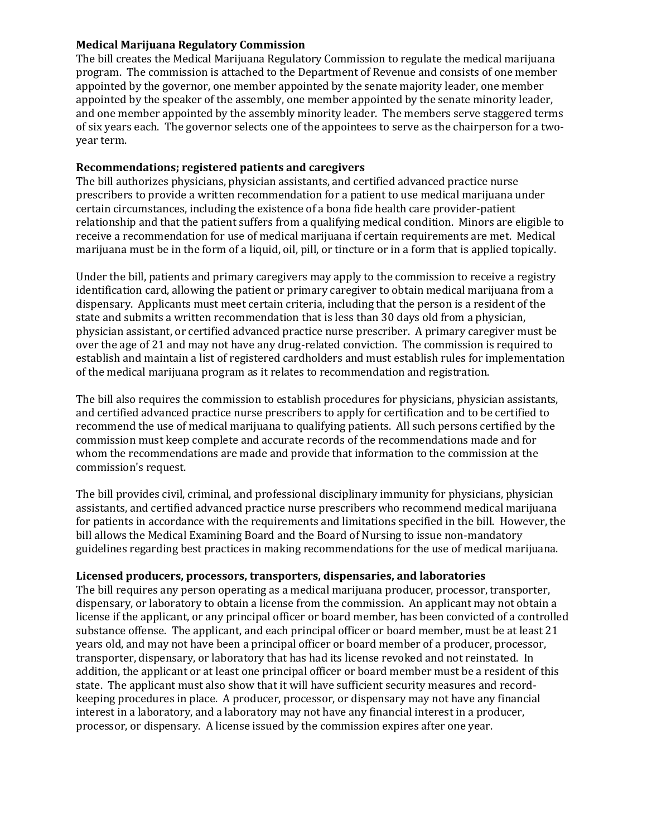#### **Medical Marijuana Regulatory Commission**

The bill creates the Medical Marijuana Regulatory Commission to regulate the medical marijuana program. The commission is attached to the Department of Revenue and consists of one member appointed by the governor, one member appointed by the senate majority leader, one member appointed by the speaker of the assembly, one member appointed by the senate minority leader, and one member appointed by the assembly minority leader. The members serve staggered terms of six years each. The governor selects one of the appointees to serve as the chairperson for a twoyear term.

### **Recommendations; registered patients and caregivers**

The bill authorizes physicians, physician assistants, and certified advanced practice nurse prescribers to provide a written recommendation for a patient to use medical marijuana under certain circumstances, including the existence of a bona fide health care provider-patient relationship and that the patient suffers from a qualifying medical condition. Minors are eligible to receive a recommendation for use of medical marijuana if certain requirements are met. Medical marijuana must be in the form of a liquid, oil, pill, or tincture or in a form that is applied topically.

Under the bill, patients and primary caregivers may apply to the commission to receive a registry identification card, allowing the patient or primary caregiver to obtain medical marijuana from a dispensary. Applicants must meet certain criteria, including that the person is a resident of the state and submits a written recommendation that is less than 30 days old from a physician, physician assistant, or certified advanced practice nurse prescriber. A primary caregiver must be over the age of 21 and may not have any drug-related conviction. The commission is required to establish and maintain a list of registered cardholders and must establish rules for implementation of the medical marijuana program as it relates to recommendation and registration.

The bill also requires the commission to establish procedures for physicians, physician assistants, and certified advanced practice nurse prescribers to apply for certification and to be certified to recommend the use of medical marijuana to qualifying patients. All such persons certified by the commission must keep complete and accurate records of the recommendations made and for whom the recommendations are made and provide that information to the commission at the commission's request.

The bill provides civil, criminal, and professional disciplinary immunity for physicians, physician assistants, and certified advanced practice nurse prescribers who recommend medical marijuana for patients in accordance with the requirements and limitations specified in the bill. However, the bill allows the Medical Examining Board and the Board of Nursing to issue non-mandatory guidelines regarding best practices in making recommendations for the use of medical marijuana.

#### **Licensed producers, processors, transporters, dispensaries, and laboratories**

The bill requires any person operating as a medical marijuana producer, processor, transporter, dispensary, or laboratory to obtain a license from the commission. An applicant may not obtain a license if the applicant, or any principal officer or board member, has been convicted of a controlled substance offense. The applicant, and each principal officer or board member, must be at least 21 years old, and may not have been a principal officer or board member of a producer, processor, transporter, dispensary, or laboratory that has had its license revoked and not reinstated. In addition, the applicant or at least one principal officer or board member must be a resident of this state. The applicant must also show that it will have sufficient security measures and recordkeeping procedures in place. A producer, processor, or dispensary may not have any financial interest in a laboratory, and a laboratory may not have any financial interest in a producer, processor, or dispensary. A license issued by the commission expires after one year.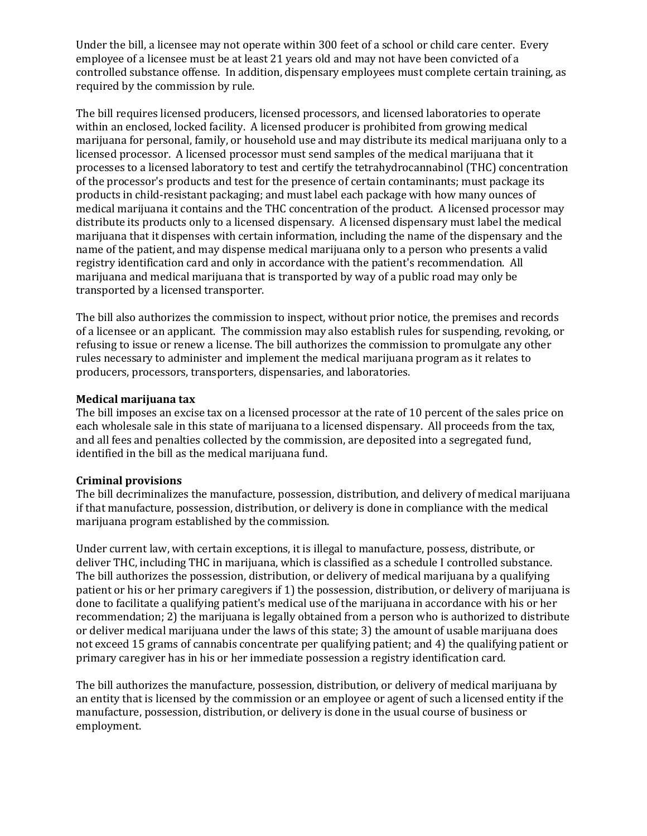Under the bill, a licensee may not operate within 300 feet of a school or child care center. Every employee of a licensee must be at least 21 years old and may not have been convicted of a controlled substance offense. In addition, dispensary employees must complete certain training, as required by the commission by rule.

The bill requires licensed producers, licensed processors, and licensed laboratories to operate within an enclosed, locked facility. A licensed producer is prohibited from growing medical marijuana for personal, family, or household use and may distribute its medical marijuana only to a licensed processor. A licensed processor must send samples of the medical marijuana that it processes to a licensed laboratory to test and certify the tetrahydrocannabinol (THC) concentration of the processor's products and test for the presence of certain contaminants; must package its products in child-resistant packaging; and must label each package with how many ounces of medical marijuana it contains and the THC concentration of the product. A licensed processor may distribute its products only to a licensed dispensary. A licensed dispensary must label the medical marijuana that it dispenses with certain information, including the name of the dispensary and the name of the patient, and may dispense medical marijuana only to a person who presents a valid registry identification card and only in accordance with the patient's recommendation. All marijuana and medical marijuana that is transported by way of a public road may only be transported by a licensed transporter.

The bill also authorizes the commission to inspect, without prior notice, the premises and records of a licensee or an applicant. The commission may also establish rules for suspending, revoking, or refusing to issue or renew a license. The bill authorizes the commission to promulgate any other rules necessary to administer and implement the medical marijuana program as it relates to producers, processors, transporters, dispensaries, and laboratories.

### **Medical marijuana tax**

The bill imposes an excise tax on a licensed processor at the rate of 10 percent of the sales price on each wholesale sale in this state of marijuana to a licensed dispensary. All proceeds from the tax, and all fees and penalties collected by the commission, are deposited into a segregated fund, identified in the bill as the medical marijuana fund.

# **Criminal provisions**

The bill decriminalizes the manufacture, possession, distribution, and delivery of medical marijuana if that manufacture, possession, distribution, or delivery is done in compliance with the medical marijuana program established by the commission.

Under current law, with certain exceptions, it is illegal to manufacture, possess, distribute, or deliver THC, including THC in marijuana, which is classified as a schedule I controlled substance. The bill authorizes the possession, distribution, or delivery of medical marijuana by a qualifying patient or his or her primary caregivers if 1) the possession, distribution, or delivery of marijuana is done to facilitate a qualifying patient's medical use of the marijuana in accordance with his or her recommendation; 2) the marijuana is legally obtained from a person who is authorized to distribute or deliver medical marijuana under the laws of this state; 3) the amount of usable marijuana does not exceed 15 grams of cannabis concentrate per qualifying patient; and 4) the qualifying patient or primary caregiver has in his or her immediate possession a registry identification card.

The bill authorizes the manufacture, possession, distribution, or delivery of medical marijuana by an entity that is licensed by the commission or an employee or agent of such a licensed entity if the manufacture, possession, distribution, or delivery is done in the usual course of business or employment.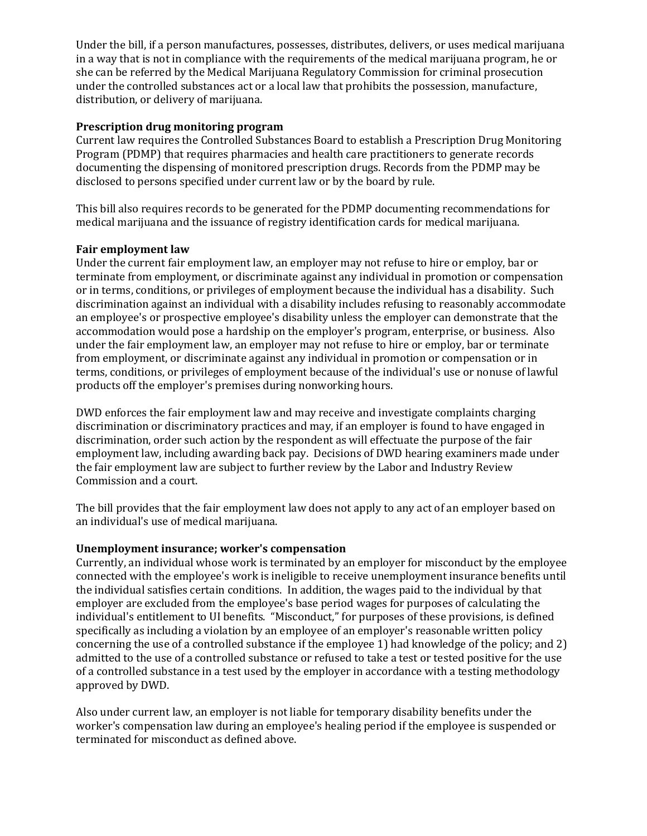Under the bill, if a person manufactures, possesses, distributes, delivers, or uses medical marijuana in a way that is not in compliance with the requirements of the medical marijuana program, he or she can be referred by the Medical Marijuana Regulatory Commission for criminal prosecution under the controlled substances act or a local law that prohibits the possession, manufacture, distribution, or delivery of marijuana.

### **Prescription drug monitoring program**

Current law requires the Controlled Substances Board to establish a Prescription Drug Monitoring Program (PDMP) that requires pharmacies and health care practitioners to generate records documenting the dispensing of monitored prescription drugs. Records from the PDMP may be disclosed to persons specified under current law or by the board by rule.

This bill also requires records to be generated for the PDMP documenting recommendations for medical marijuana and the issuance of registry identification cards for medical marijuana.

### **Fair employment law**

Under the current fair employment law, an employer may not refuse to hire or employ, bar or terminate from employment, or discriminate against any individual in promotion or compensation or in terms, conditions, or privileges of employment because the individual has a disability. Such discrimination against an individual with a disability includes refusing to reasonably accommodate an employee's or prospective employee's disability unless the employer can demonstrate that the accommodation would pose a hardship on the employer's program, enterprise, or business. Also under the fair employment law, an employer may not refuse to hire or employ, bar or terminate from employment, or discriminate against any individual in promotion or compensation or in terms, conditions, or privileges of employment because of the individual's use or nonuse of lawful products off the employer's premises during nonworking hours.

DWD enforces the fair employment law and may receive and investigate complaints charging discrimination or discriminatory practices and may, if an employer is found to have engaged in discrimination, order such action by the respondent as will effectuate the purpose of the fair employment law, including awarding back pay. Decisions of DWD hearing examiners made under the fair employment law are subject to further review by the Labor and Industry Review Commission and a court.

The bill provides that the fair employment law does not apply to any act of an employer based on an individual's use of medical marijuana.

# **Unemployment insurance; worker's compensation**

Currently, an individual whose work is terminated by an employer for misconduct by the employee connected with the employee's work is ineligible to receive unemployment insurance benefits until the individual satisfies certain conditions. In addition, the wages paid to the individual by that employer are excluded from the employee's base period wages for purposes of calculating the individual's entitlement to UI benefits. "Misconduct," for purposes of these provisions, is defined specifically as including a violation by an employee of an employer's reasonable written policy concerning the use of a controlled substance if the employee 1) had knowledge of the policy; and 2) admitted to the use of a controlled substance or refused to take a test or tested positive for the use of a controlled substance in a test used by the employer in accordance with a testing methodology approved by DWD.

Also under current law, an employer is not liable for temporary disability benefits under the worker's compensation law during an employee's healing period if the employee is suspended or terminated for misconduct as defined above.